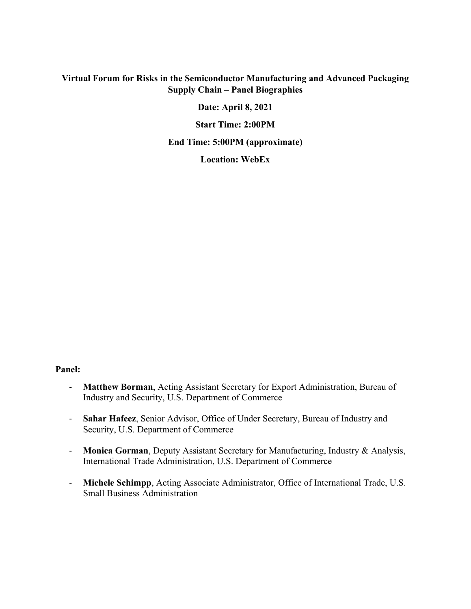#### **Virtual Forum for Risks in the Semiconductor Manufacturing and Advanced Packaging Supply Chain – Panel Biographies**

**Date: April 8, 2021** 

**Start Time: 2:00PM** 

**End Time: 5:00PM (approximate)** 

**Location: WebEx** 

#### **Panel:**

- ‐ **Matthew Borman**, Acting Assistant Secretary for Export Administration, Bureau of Industry and Security, U.S. Department of Commerce
- ‐ **Sahar Hafeez**, Senior Advisor, Office of Under Secretary, Bureau of Industry and Security, U.S. Department of Commerce
- ‐ **Monica Gorman**, Deputy Assistant Secretary for Manufacturing, Industry & Analysis, International Trade Administration, U.S. Department of Commerce
- ‐ **Michele Schimpp**, Acting Associate Administrator, Office of International Trade, U.S. Small Business Administration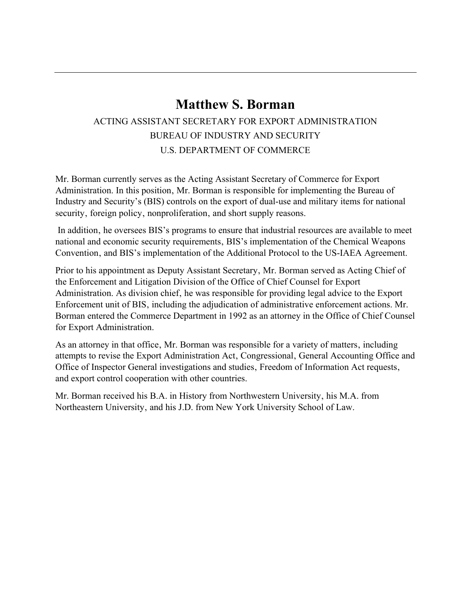# **Matthew S. Borman**

### ACTING ASSISTANT SECRETARY FOR EXPORT ADMINISTRATION BUREAU OF INDUSTRY AND SECURITY U.S. DEPARTMENT OF COMMERCE

Mr. Borman currently serves as the Acting Assistant Secretary of Commerce for Export Administration. In this position, Mr. Borman is responsible for implementing the Bureau of Industry and Security's (BIS) controls on the export of dual-use and military items for national security, foreign policy, nonproliferation, and short supply reasons.

In addition, he oversees BIS's programs to ensure that industrial resources are available to meet national and economic security requirements, BIS's implementation of the Chemical Weapons Convention, and BIS's implementation of the Additional Protocol to the US-IAEA Agreement.

Prior to his appointment as Deputy Assistant Secretary, Mr. Borman served as Acting Chief of the Enforcement and Litigation Division of the Office of Chief Counsel for Export Administration. As division chief, he was responsible for providing legal advice to the Export Enforcement unit of BIS, including the adjudication of administrative enforcement actions. Mr. Borman entered the Commerce Department in 1992 as an attorney in the Office of Chief Counsel for Export Administration.

As an attorney in that office, Mr. Borman was responsible for a variety of matters, including attempts to revise the Export Administration Act, Congressional, General Accounting Office and Office of Inspector General investigations and studies, Freedom of Information Act requests, and export control cooperation with other countries.

Mr. Borman received his B.A. in History from Northwestern University, his M.A. from Northeastern University, and his J.D. from New York University School of Law.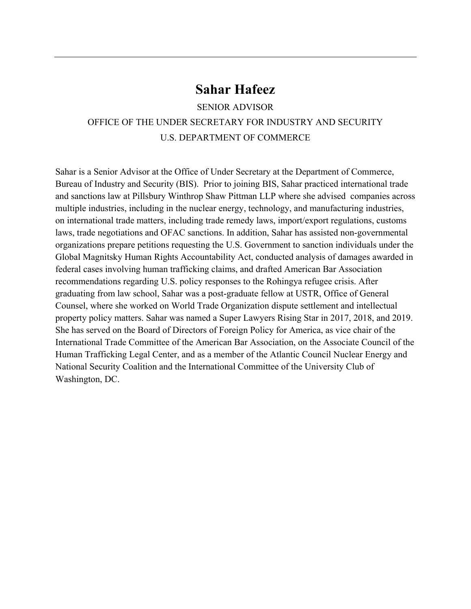### **Sahar Hafeez**

SENIOR ADVISOR OFFICE OF THE UNDER SECRETARY FOR INDUSTRY AND SECURITY U.S. DEPARTMENT OF COMMERCE

Sahar is a Senior Advisor at the Office of Under Secretary at the Department of Commerce, Bureau of Industry and Security (BIS). Prior to joining BIS, Sahar practiced international trade and sanctions law at Pillsbury Winthrop Shaw Pittman LLP where she advised companies across multiple industries, including in the nuclear energy, technology, and manufacturing industries, on international trade matters, including trade remedy laws, import/export regulations, customs laws, trade negotiations and OFAC sanctions. In addition, Sahar has assisted non-governmental organizations prepare petitions requesting the U.S. Government to sanction individuals under the Global Magnitsky Human Rights Accountability Act, conducted analysis of damages awarded in federal cases involving human trafficking claims, and drafted American Bar Association recommendations regarding U.S. policy responses to the Rohingya refugee crisis. After graduating from law school, Sahar was a post-graduate fellow at USTR, Office of General Counsel, where she worked on World Trade Organization dispute settlement and intellectual property policy matters. Sahar was named a Super Lawyers Rising Star in 2017, 2018, and 2019. She has served on the Board of Directors of Foreign Policy for America, as vice chair of the International Trade Committee of the American Bar Association, on the Associate Council of the Human Trafficking Legal Center, and as a member of the Atlantic Council Nuclear Energy and National Security Coalition and the International Committee of the University Club of Washington, DC.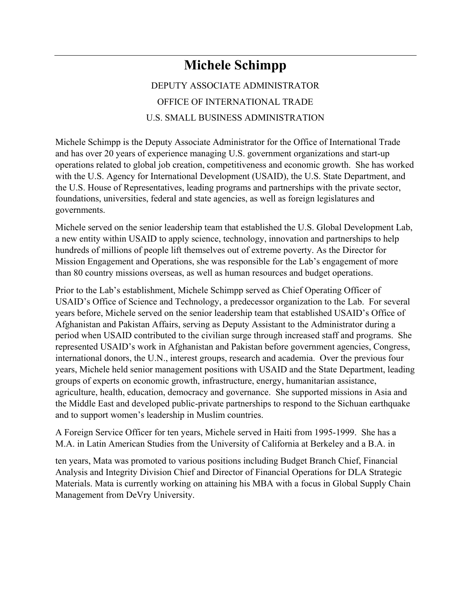# **Michele Schimpp**

## DEPUTY ASSOCIATE ADMINISTRATOR OFFICE OF INTERNATIONAL TRADE U.S. SMALL BUSINESS ADMINISTRATION

Michele Schimpp is the Deputy Associate Administrator for the Office of International Trade and has over 20 years of experience managing U.S. government organizations and start-up operations related to global job creation, competitiveness and economic growth. She has worked with the U.S. Agency for International Development (USAID), the U.S. State Department, and the U.S. House of Representatives, leading programs and partnerships with the private sector, foundations, universities, federal and state agencies, as well as foreign legislatures and governments.

Michele served on the senior leadership team that established the U.S. Global Development Lab, a new entity within USAID to apply science, technology, innovation and partnerships to help hundreds of millions of people lift themselves out of extreme poverty. As the Director for Mission Engagement and Operations, she was responsible for the Lab's engagement of more than 80 country missions overseas, as well as human resources and budget operations.

Prior to the Lab's establishment, Michele Schimpp served as Chief Operating Officer of USAID's Office of Science and Technology, a predecessor organization to the Lab. For several years before, Michele served on the senior leadership team that established USAID's Office of Afghanistan and Pakistan Affairs, serving as Deputy Assistant to the Administrator during a period when USAID contributed to the civilian surge through increased staff and programs. She represented USAID's work in Afghanistan and Pakistan before government agencies, Congress, international donors, the U.N., interest groups, research and academia. Over the previous four years, Michele held senior management positions with USAID and the State Department, leading groups of experts on economic growth, infrastructure, energy, humanitarian assistance, agriculture, health, education, democracy and governance. She supported missions in Asia and the Middle East and developed public-private partnerships to respond to the Sichuan earthquake and to support women's leadership in Muslim countries.

A Foreign Service Officer for ten years, Michele served in Haiti from 1995-1999. She has a M.A. in Latin American Studies from the University of California at Berkeley and a B.A. in

ten years, Mata was promoted to various positions including Budget Branch Chief, Financial Analysis and Integrity Division Chief and Director of Financial Operations for DLA Strategic Materials. Mata is currently working on attaining his MBA with a focus in Global Supply Chain Management from DeVry University.